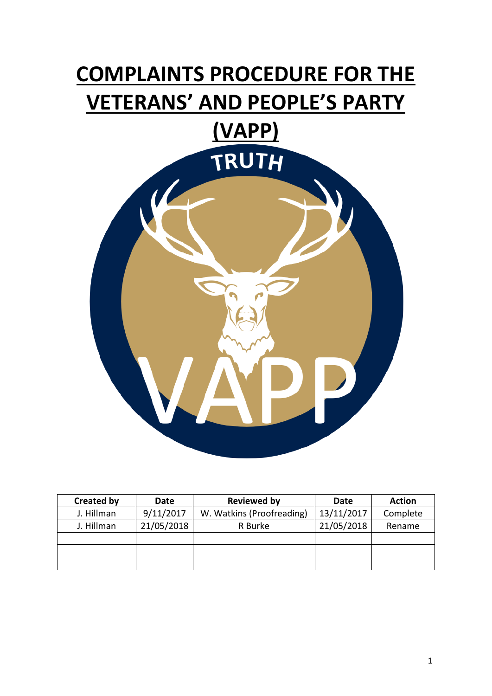# **COMPLAINTS PROCEDURE FOR THE VETERANS' AND PEOPLE'S PARTY**



| <b>Created by</b> | Date       | <b>Reviewed by</b>        | Date       | <b>Action</b> |
|-------------------|------------|---------------------------|------------|---------------|
| J. Hillman        | 9/11/2017  | W. Watkins (Proofreading) | 13/11/2017 | Complete      |
| J. Hillman        | 21/05/2018 | R Burke                   | 21/05/2018 | Rename        |
|                   |            |                           |            |               |
|                   |            |                           |            |               |
|                   |            |                           |            |               |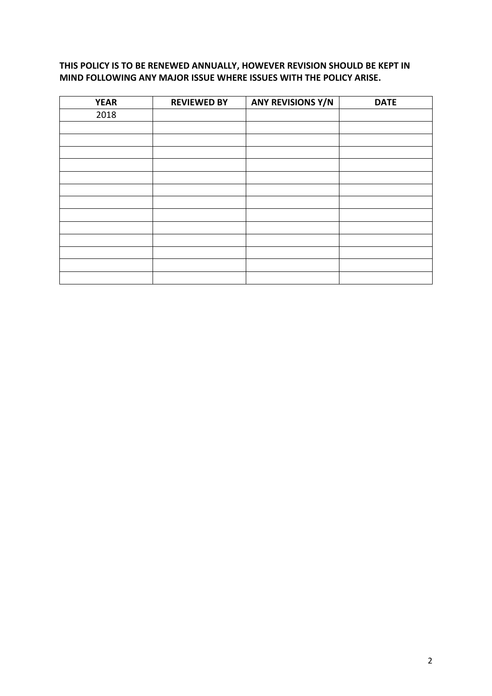# **THIS POLICY IS TO BE RENEWED ANNUALLY, HOWEVER REVISION SHOULD BE KEPT IN MIND FOLLOWING ANY MAJOR ISSUE WHERE ISSUES WITH THE POLICY ARISE.**

| <b>YEAR</b> | <b>REVIEWED BY</b> | <b>ANY REVISIONS Y/N</b> | <b>DATE</b> |
|-------------|--------------------|--------------------------|-------------|
| 2018        |                    |                          |             |
|             |                    |                          |             |
|             |                    |                          |             |
|             |                    |                          |             |
|             |                    |                          |             |
|             |                    |                          |             |
|             |                    |                          |             |
|             |                    |                          |             |
|             |                    |                          |             |
|             |                    |                          |             |
|             |                    |                          |             |
|             |                    |                          |             |
|             |                    |                          |             |
|             |                    |                          |             |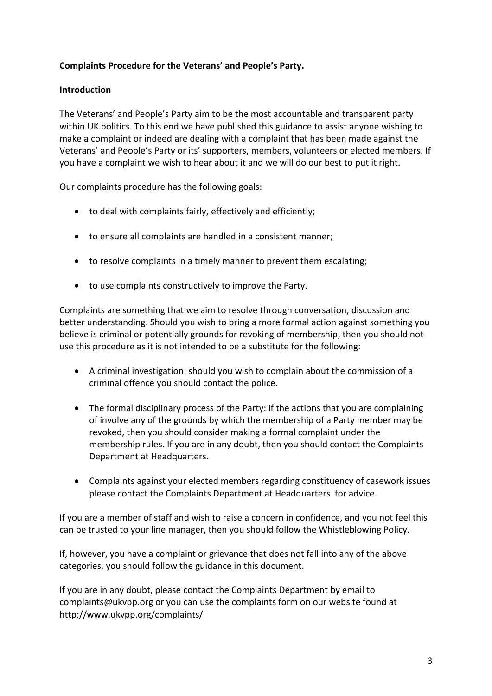# **Complaints Procedure for the Veterans' and People's Party.**

# **Introduction**

The Veterans' and People's Party aim to be the most accountable and transparent party within UK politics. To this end we have published this guidance to assist anyone wishing to make a complaint or indeed are dealing with a complaint that has been made against the Veterans' and People's Party or its' supporters, members, volunteers or elected members. If you have a complaint we wish to hear about it and we will do our best to put it right.

Our complaints procedure has the following goals:

- to deal with complaints fairly, effectively and efficiently;
- to ensure all complaints are handled in a consistent manner;
- to resolve complaints in a timely manner to prevent them escalating;
- to use complaints constructively to improve the Party.

Complaints are something that we aim to resolve through conversation, discussion and better understanding. Should you wish to bring a more formal action against something you believe is criminal or potentially grounds for revoking of membership, then you should not use this procedure as it is not intended to be a substitute for the following:

- A criminal investigation: should you wish to complain about the commission of a criminal offence you should contact the police.
- The formal disciplinary process of the Party: if the actions that you are complaining of involve any of the grounds by which the membership of a Party member may be revoked, then you should consider making a formal complaint under the membership rules. If you are in any doubt, then you should contact the Complaints Department at Headquarters.
- Complaints against your elected members regarding constituency of casework issues please contact the Complaints Department at Headquarters for advice.

If you are a member of staff and wish to raise a concern in confidence, and you not feel this can be trusted to your line manager, then you should follow the Whistleblowing Policy.

If, however, you have a complaint or grievance that does not fall into any of the above categories, you should follow the guidance in this document.

If you are in any doubt, please contact the Complaints Department by email to complaints@ukvpp.org or you can use the complaints form on our website found at http://www.ukvpp.org/complaints/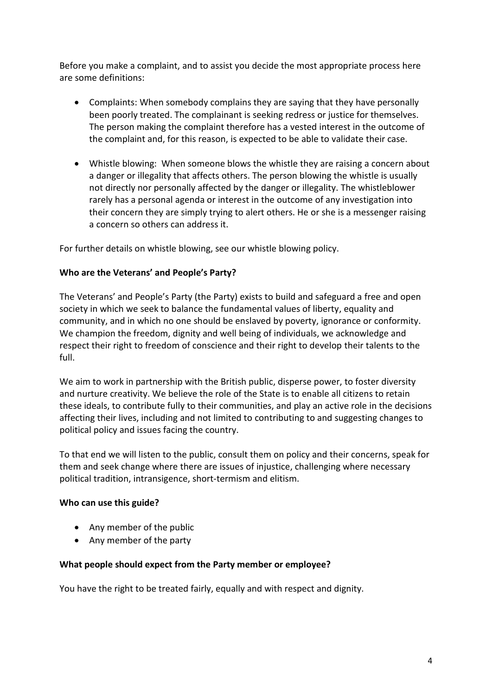Before you make a complaint, and to assist you decide the most appropriate process here are some definitions:

- Complaints: When somebody complains they are saying that they have personally been poorly treated. The complainant is seeking redress or justice for themselves. The person making the complaint therefore has a vested interest in the outcome of the complaint and, for this reason, is expected to be able to validate their case.
- Whistle blowing: When someone blows the whistle they are raising a concern about a danger or illegality that affects others. The person blowing the whistle is usually not directly nor personally affected by the danger or illegality. The whistleblower rarely has a personal agenda or interest in the outcome of any investigation into their concern they are simply trying to alert others. He or she is a messenger raising a concern so others can address it.

For further details on whistle blowing, see our whistle blowing policy.

# **Who are the Veterans' and People's Party?**

The Veterans' and People's Party (the Party) exists to build and safeguard a free and open society in which we seek to balance the fundamental values of liberty, equality and community, and in which no one should be enslaved by poverty, ignorance or conformity. We champion the freedom, dignity and well being of individuals, we acknowledge and respect their right to freedom of conscience and their right to develop their talents to the full.

We aim to work in partnership with the British public, disperse power, to foster diversity and nurture creativity. We believe the role of the State is to enable all citizens to retain these ideals, to contribute fully to their communities, and play an active role in the decisions affecting their lives, including and not limited to contributing to and suggesting changes to political policy and issues facing the country.

To that end we will listen to the public, consult them on policy and their concerns, speak for them and seek change where there are issues of injustice, challenging where necessary political tradition, intransigence, short-termism and elitism.

#### **Who can use this guide?**

- Any member of the public
- Any member of the party

#### **What people should expect from the Party member or employee?**

You have the right to be treated fairly, equally and with respect and dignity.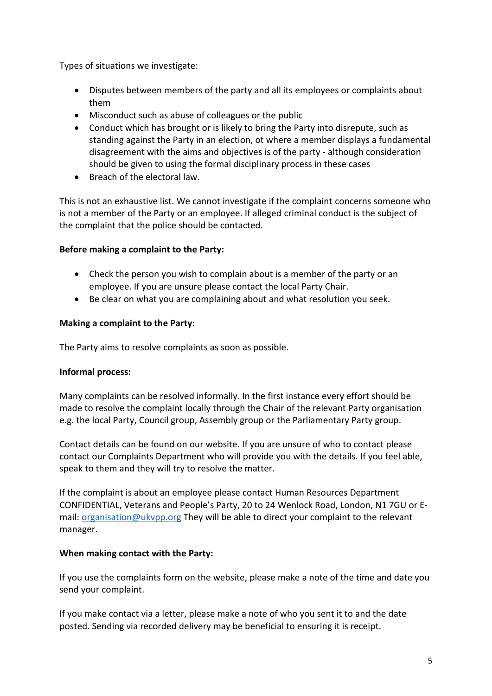Types of situations we investigate:

- Disputes between members of the party and all its employees or complaints about them
- Misconduct such as abuse of colleagues or the public
- Conduct which has brought or is likely to bring the Party into disrepute, such as standing against the Party in an election, ot where a member displays a fundamental disagreement with the aims and objectives is of the party - although consideration should be given to using the formal disciplinary process in these cases
- Breach of the electoral law.

This is not an exhaustive list. We cannot investigate if the complaint concerns someone who is not a member of the Party or an employee. If alleged criminal conduct is the subject of the complaint that the police should be contacted.

#### **Before making a complaint to the Party:**

- Check the person you wish to complain about is a member of the party or an employee. If you are unsure please contact the local Party Chair.
- Be clear on what you are complaining about and what resolution you seek.

#### **Making a complaint to the Party:**

The Party aims to resolve complaints as soon as possible.

# **Informal process:**

Many complaints can be resolved informally. In the first instance every effort should be made to resolve the complaint locally through the Chair of the relevant Party organisation e.g. the local Party, Council group, Assembly group or the Parliamentary Party group.

Contact details can be found on our website. If you are unsure of who to contact please contact our Complaints Department who will provide you with the details. If you feel able, speak to them and they will try to resolve the matter.

If the complaint is about an employee please contact Human Resources Department CONFIDENTIAL, Veterans and People's Party, 20 to 24 Wenlock Road, London, N1 7GU or Email: [organisation@ukvpp.org](mailto:organisation@ukvpp.org) They will be able to direct your complaint to the relevant manager.

#### **When making contact with the Party:**

If you use the complaints form on the website, please make a note of the time and date you send your complaint.

If you make contact via a letter, please make a note of who you sent it to and the date posted. Sending via recorded delivery may be beneficial to ensuring it is receipt.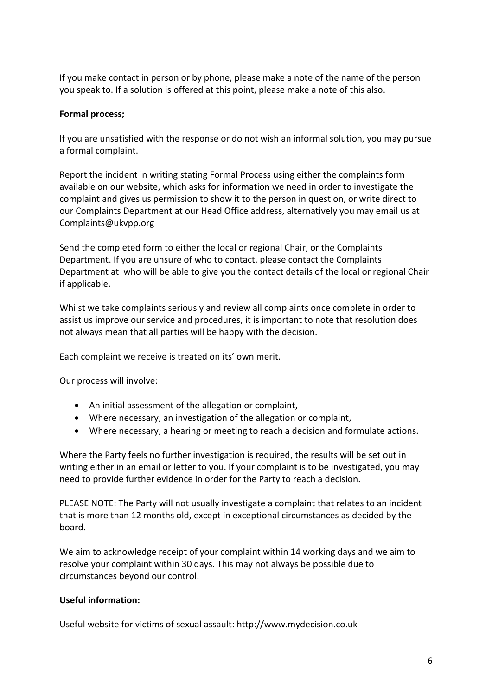If you make contact in person or by phone, please make a note of the name of the person you speak to. If a solution is offered at this point, please make a note of this also.

### **Formal process;**

If you are unsatisfied with the response or do not wish an informal solution, you may pursue a formal complaint.

Report the incident in writing stating Formal Process using either the complaints form available on our website, which asks for information we need in order to investigate the complaint and gives us permission to show it to the person in question, or write direct to our Complaints Department at our Head Office address, alternatively you may email us at Complaints@ukvpp.org

Send the completed form to either the local or regional Chair, or the Complaints Department. If you are unsure of who to contact, please contact the Complaints Department at who will be able to give you the contact details of the local or regional Chair if applicable.

Whilst we take complaints seriously and review all complaints once complete in order to assist us improve our service and procedures, it is important to note that resolution does not always mean that all parties will be happy with the decision.

Each complaint we receive is treated on its' own merit.

Our process will involve:

- An initial assessment of the allegation or complaint,
- Where necessary, an investigation of the allegation or complaint,
- Where necessary, a hearing or meeting to reach a decision and formulate actions.

Where the Party feels no further investigation is required, the results will be set out in writing either in an email or letter to you. If your complaint is to be investigated, you may need to provide further evidence in order for the Party to reach a decision.

PLEASE NOTE: The Party will not usually investigate a complaint that relates to an incident that is more than 12 months old, except in exceptional circumstances as decided by the board.

We aim to acknowledge receipt of your complaint within 14 working days and we aim to resolve your complaint within 30 days. This may not always be possible due to circumstances beyond our control.

# **Useful information:**

Useful website for victims of sexual assault: http://www.mydecision.co.uk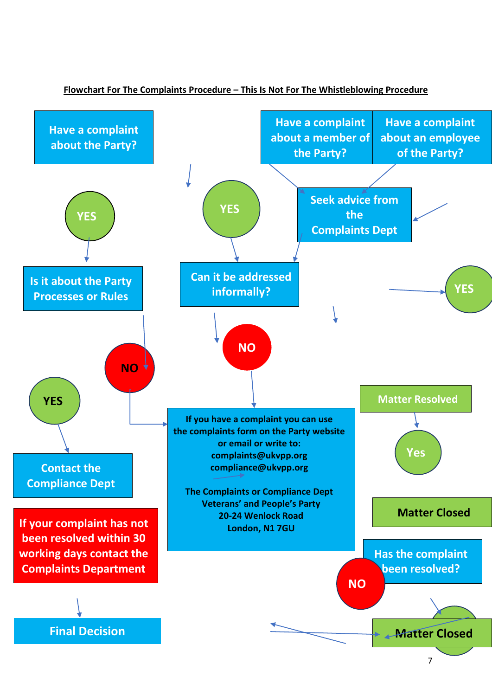

#### **Flowchart For The Complaints Procedure – This Is Not For The Whistleblowing Procedure**